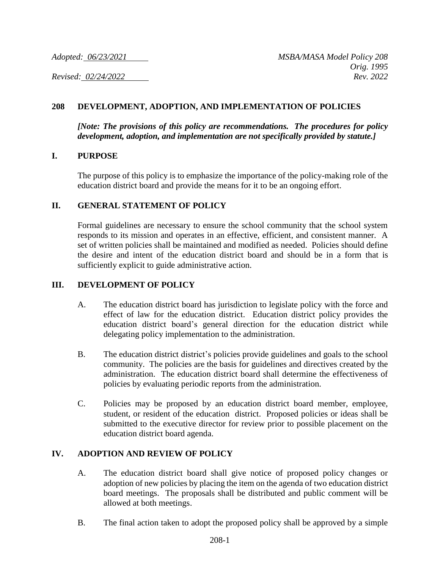## **208 DEVELOPMENT, ADOPTION, AND IMPLEMENTATION OF POLICIES**

*[Note: The provisions of this policy are recommendations. The procedures for policy development, adoption, and implementation are not specifically provided by statute.]*

#### **I. PURPOSE**

The purpose of this policy is to emphasize the importance of the policy-making role of the education district board and provide the means for it to be an ongoing effort.

#### **II. GENERAL STATEMENT OF POLICY**

Formal guidelines are necessary to ensure the school community that the school system responds to its mission and operates in an effective, efficient, and consistent manner. A set of written policies shall be maintained and modified as needed. Policies should define the desire and intent of the education district board and should be in a form that is sufficiently explicit to guide administrative action.

### **III. DEVELOPMENT OF POLICY**

- A. The education district board has jurisdiction to legislate policy with the force and effect of law for the education district. Education district policy provides the education district board's general direction for the education district while delegating policy implementation to the administration.
- B. The education district district's policies provide guidelines and goals to the school community. The policies are the basis for guidelines and directives created by the administration. The education district board shall determine the effectiveness of policies by evaluating periodic reports from the administration.
- C. Policies may be proposed by an education district board member, employee, student, or resident of the education district. Proposed policies or ideas shall be submitted to the executive director for review prior to possible placement on the education district board agenda.

#### **IV. ADOPTION AND REVIEW OF POLICY**

- A. The education district board shall give notice of proposed policy changes or adoption of new policies by placing the item on the agenda of two education district board meetings. The proposals shall be distributed and public comment will be allowed at both meetings.
- B. The final action taken to adopt the proposed policy shall be approved by a simple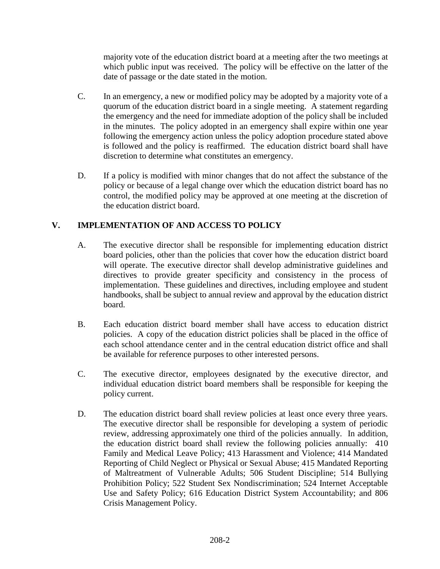majority vote of the education district board at a meeting after the two meetings at which public input was received. The policy will be effective on the latter of the date of passage or the date stated in the motion.

- C. In an emergency, a new or modified policy may be adopted by a majority vote of a quorum of the education district board in a single meeting. A statement regarding the emergency and the need for immediate adoption of the policy shall be included in the minutes. The policy adopted in an emergency shall expire within one year following the emergency action unless the policy adoption procedure stated above is followed and the policy is reaffirmed. The education district board shall have discretion to determine what constitutes an emergency.
- D. If a policy is modified with minor changes that do not affect the substance of the policy or because of a legal change over which the education district board has no control, the modified policy may be approved at one meeting at the discretion of the education district board.

# **V. IMPLEMENTATION OF AND ACCESS TO POLICY**

- A. The executive director shall be responsible for implementing education district board policies, other than the policies that cover how the education district board will operate. The executive director shall develop administrative guidelines and directives to provide greater specificity and consistency in the process of implementation. These guidelines and directives, including employee and student handbooks, shall be subject to annual review and approval by the education district board.
- B. Each education district board member shall have access to education district policies. A copy of the education district policies shall be placed in the office of each school attendance center and in the central education district office and shall be available for reference purposes to other interested persons.
- C. The executive director, employees designated by the executive director, and individual education district board members shall be responsible for keeping the policy current.
- D. The education district board shall review policies at least once every three years. The executive director shall be responsible for developing a system of periodic review, addressing approximately one third of the policies annually. In addition, the education district board shall review the following policies annually: 410 Family and Medical Leave Policy; 413 Harassment and Violence; 414 Mandated Reporting of Child Neglect or Physical or Sexual Abuse; 415 Mandated Reporting of Maltreatment of Vulnerable Adults; 506 Student Discipline; 514 Bullying Prohibition Policy; 522 Student Sex Nondiscrimination; 524 Internet Acceptable Use and Safety Policy; 616 Education District System Accountability; and 806 Crisis Management Policy.